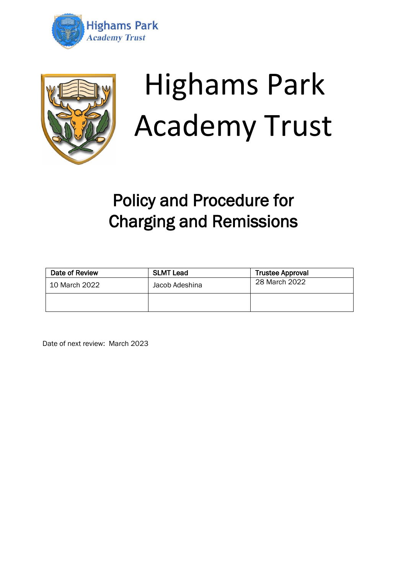



# Highams Park Academy Trust

# Policy and Procedure for Charging and Remissions

| Date of Review | <b>SLMT Lead</b> | <b>Trustee Approval</b> |
|----------------|------------------|-------------------------|
| 10 March 2022  | Jacob Adeshina   | 28 March 2022           |
|                |                  |                         |

Date of next review: March 2023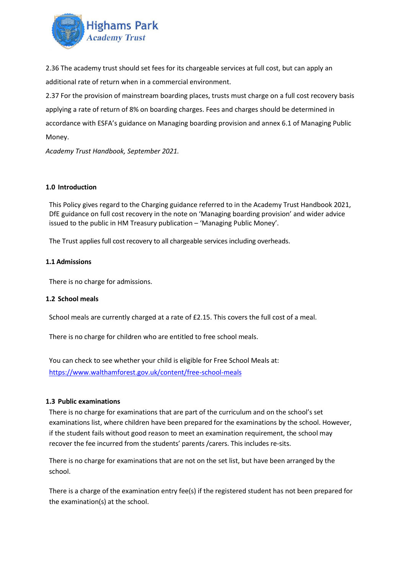

2.36 The academy trust should set fees for its chargeable services at full cost, but can apply an additional rate of return when in a commercial environment.

2.37 For the provision of mainstream boarding places, trusts must charge on a full cost recovery basis applying a rate of return of 8% on boarding charges. Fees and charges should be determined in accordance with ESFA's guidance on Managing boarding provision and annex 6.1 of Managing Public Money.

*Academy Trust Handbook, September 2021.* 

#### **1.0 Introduction**

This Policy gives regard to the Charging guidance referred to in the Academy Trust Handbook 2021, DfE guidance on full cost recovery in the note on 'Managing boarding provision' and wider advice issued to the public in HM Treasury publication – 'Managing Public Money'.

The Trust applies full cost recovery to all chargeable services including overheads.

#### **1.1 Admissions**

There is no charge for admissions.

#### **1.2 School meals**

School meals are currently charged at a rate of £2.15. This covers the full cost of a meal.

There is no charge for children who are entitled to free school meals.

You can check to see whether your child is eligible for Free School Meals at: <https://www.walthamforest.gov.uk/content/free-school-meals>

#### **1.3 Public examinations**

There is no charge for examinations that are part of the curriculum and on the school's set examinations list, where children have been prepared for the examinations by the school. However, if the student fails without good reason to meet an examination requirement, the school may recover the fee incurred from the students' parents /carers. This includes re-sits.

There is no charge for examinations that are not on the set list, but have been arranged by the school.

There is a charge of the examination entry fee(s) if the registered student has not been prepared for the examination(s) at the school.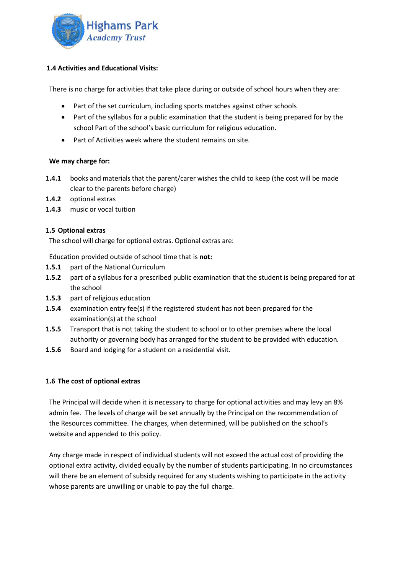

# **1.4 Activities and Educational Visits:**

There is no charge for activities that take place during or outside of school hours when they are:

- Part of the set curriculum, including sports matches against other schools
- Part of the syllabus for a public examination that the student is being prepared for by the school Part of the school's basic curriculum for religious education.
- Part of Activities week where the student remains on site.

# **We may charge for:**

- **1.4.1** books and materials that the parent/carer wishes the child to keep (the cost will be made clear to the parents before charge)
- **1.4.2** optional extras
- **1.4.3** music or vocal tuition

# **1.5 Optional extras**

The school will charge for optional extras. Optional extras are:

Education provided outside of school time that is **not:**

- **1.5.1** part of the National Curriculum
- **1.5.2** part of a syllabus for a prescribed public examination that the student is being prepared for at the school
- **1.5.3** part of religious education
- **1.5.4** examination entry fee(s) if the registered student has not been prepared for the examination(s) at the school
- **1.5.5** Transport that is not taking the student to school or to other premises where the local authority or governing body has arranged for the student to be provided with education*.*
- **1.5.6** Board and lodging for a student on a residential visit.

# **1.6 The cost of optional extras**

The Principal will decide when it is necessary to charge for optional activities and may levy an 8% admin fee. The levels of charge will be set annually by the Principal on the recommendation of the Resources committee. The charges, when determined, will be published on the school's website and appended to this policy.

Any charge made in respect of individual students will not exceed the actual cost of providing the optional extra activity, divided equally by the number of students participating. In no circumstances will there be an element of subsidy required for any students wishing to participate in the activity whose parents are unwilling or unable to pay the full charge.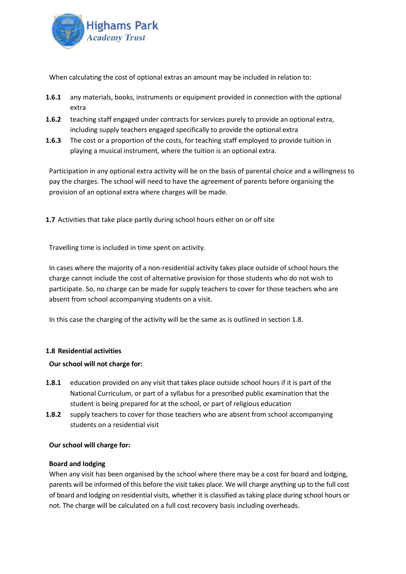

When calculating the cost of optional extras an amount may be included in relation to:

- **1.6.1** any materials, books, instruments or equipment provided in connection with the optional extra
- **1.6.2** teaching staff engaged under contracts for services purely to provide an optional extra, including supply teachers engaged specifically to provide the optional extra
- **1.6.3** The cost or a proportion of the costs, for teaching staff employed to provide tuition in playing a musical instrument, where the tuition is an optional extra.

Participation in any optional extra activity will be on the basis of parental choice and a willingness to pay the charges. The school will need to have the agreement of parents before organising the provision of an optional extra where charges will be made.

**1.7** Activities that take place partly during school hours either on or off site

Travelling time is included in time spent on activity.

In cases where the majority of a non-residential activity takes place outside of school hours the charge cannot include the cost of alternative provision for those students who do not wish to participate. So, no charge can be made for supply teachers to cover for those teachers who are absent from school accompanying students on a visit.

In this case the charging of the activity will be the same as is outlined in section 1.8.

# **1.8 Residential activities**

#### **Our school will not charge for:**

- **1.8.1** education provided on any visit that takes place outside school hours if it is part of the National Curriculum, or part of a syllabus for a prescribed public examination that the student is being prepared for at the school, or part of religious education
- **1.8.2** supply teachers to cover for those teachers who are absent from school accompanying students on a residential visit

#### **Our school will charge for:**

#### **Board and lodging**

When any visit has been organised by the school where there may be a cost for board and lodging, parents will be informed of this before the visit takes place. We will charge anything up to the full cost of board and lodging on residential visits, whether it is classified as taking place during school hours or not. The charge will be calculated on a full cost recovery basis including overheads.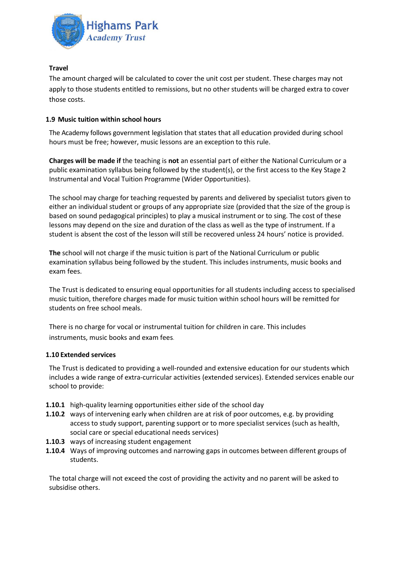

# **Travel**

The amount charged will be calculated to cover the unit cost per student. These charges may not apply to those students entitled to remissions, but no other students will be charged extra to cover those costs.

#### **1.9 Music tuition within school hours**

The Academy follows government legislation that states that all education provided during school hours must be free; however, music lessons are an exception to this rule.

**Charges will be made if** the teaching is **not** an essential part of either the National Curriculum or a public examination syllabus being followed by the student(s), or the first access to the Key Stage 2 Instrumental and Vocal Tuition Programme (Wider Opportunities).

The school may charge for teaching requested by parents and delivered by specialist tutors given to either an individual student or groups of any appropriate size (provided that the size of the group is based on sound pedagogical principles) to play a musical instrument or to sing. The cost of these lessons may depend on the size and duration of the class as well as the type of instrument. If a student is absent the cost of the lesson will still be recovered unless 24 hours' notice is provided.

**The** school will not charge if the music tuition is part of the National Curriculum or public examination syllabus being followed by the student. This includes instruments, music books and exam fees.

The Trust is dedicated to ensuring equal opportunities for all students including access to specialised music tuition, therefore charges made for music tuition within school hours will be remitted for students on free school meals.

There is no charge for vocal or instrumental tuition for children in care. This includes instruments, music books and exam fees*.*

#### **1.10 Extended services**

The Trust is dedicated to providing a well-rounded and extensive education for our students which includes a wide range of extra-curricular activities (extended services). Extended services enable our school to provide:

- **1.10.1** high-quality learning opportunities either side of the school day
- **1.10.2** ways of intervening early when children are at risk of poor outcomes, e.g. by providing access to study support, parenting support or to more specialist services (such as health, social care or special educational needs services)
- **1.10.3** ways of increasing student engagement
- **1.10.4** Ways of improving outcomes and narrowing gaps in outcomes between different groups of students.

The total charge will not exceed the cost of providing the activity and no parent will be asked to subsidise others.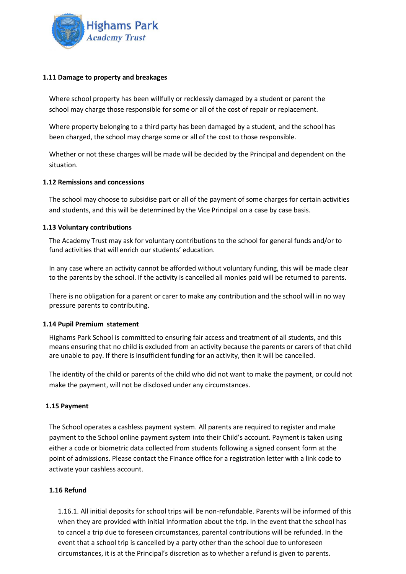

#### **1.11 Damage to property and breakages**

Where school property has been willfully or recklessly damaged by a student or parent the school may charge those responsible for some or all of the cost of repair or replacement.

Where property belonging to a third party has been damaged by a student, and the school has been charged, the school may charge some or all of the cost to those responsible.

Whether or not these charges will be made will be decided by the Principal and dependent on the situation.

#### **1.12 Remissions and concessions**

The school may choose to subsidise part or all of the payment of some charges for certain activities and students, and this will be determined by the Vice Principal on a case by case basis.

#### **1.13 Voluntary contributions**

The Academy Trust may ask for voluntary contributions to the school for general funds and/or to fund activities that will enrich our students' education.

In any case where an activity cannot be afforded without voluntary funding, this will be made clear to the parents by the school. If the activity is cancelled all monies paid will be returned to parents.

There is no obligation for a parent or carer to make any contribution and the school will in no way pressure parents to contributing.

#### **1.14 Pupil Premium statement**

Highams Park School is committed to ensuring fair access and treatment of all students, and this means ensuring that no child is excluded from an activity because the parents or carers of that child are unable to pay. If there is insufficient funding for an activity, then it will be cancelled.

The identity of the child or parents of the child who did not want to make the payment, or could not make the payment, will not be disclosed under any circumstances.

# **1.15 Payment**

The School operates a cashless payment system. All parents are required to register and make payment to the School online payment system into their Child's account. Payment is taken using either a code or biometric data collected from students following a signed consent form at the point of admissions. Please contact the Finance office for a registration letter with a link code to activate your cashless account.

#### **1.16 Refund**

1.16.1. All initial deposits for school trips will be non-refundable. Parents will be informed of this when they are provided with initial information about the trip. In the event that the school has to cancel a trip due to foreseen circumstances, parental contributions will be refunded. In the event that a school trip is cancelled by a party other than the school due to unforeseen circumstances, it is at the Principal's discretion as to whether a refund is given to parents.